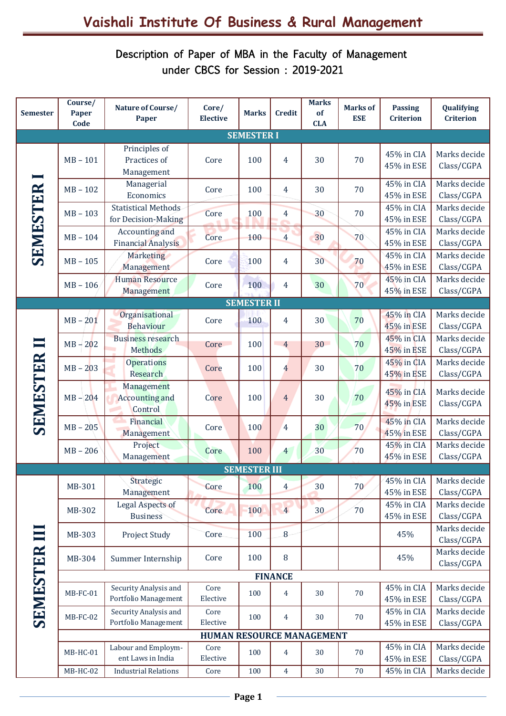## Description of Paper of MBA in the Faculty of Management under CBCS for Session : 2019-2021

| <b>Semester</b>   | Course/<br>Paper<br>Code  | Nature of Course/<br>Paper                        | Core/<br><b>Elective</b> | <b>Marks</b>        | <b>Credit</b>  | <b>Marks</b><br>of<br><b>CLA</b> | <b>Marks of</b><br><b>ESE</b> | <b>Passing</b><br><b>Criterion</b> | Qualifying<br><b>Criterion</b> |  |
|-------------------|---------------------------|---------------------------------------------------|--------------------------|---------------------|----------------|----------------------------------|-------------------------------|------------------------------------|--------------------------------|--|
| <b>SEMESTER I</b> |                           |                                                   |                          |                     |                |                                  |                               |                                    |                                |  |
| <b>SEMESTER</b>   | $MB - 101$                | Principles of<br>Practices of<br>Management       | Core                     | 100                 | $\overline{4}$ | 30                               | 70                            | 45% in CIA<br>45% in ESE           | Marks decide<br>Class/CGPA     |  |
|                   | $MB - 102$                | Managerial<br>Economics                           | Core                     | 100                 | $\overline{4}$ | 30                               | 70                            | 45% in CIA<br>45% in ESE           | Marks decide<br>Class/CGPA     |  |
|                   | $MB - 103$                | <b>Statistical Methods</b><br>for Decision-Making | Core                     | 100                 | $\overline{4}$ | 30                               | 70                            | 45% in CIA<br>45% in ESE           | Marks decide<br>Class/CGPA     |  |
|                   | $MB - 104$                | Accounting and<br><b>Financial Analysis</b>       | Core                     | 100                 | $\overline{4}$ | 30                               | 70                            | 45% in CIA<br>45% in ESE           | Marks decide<br>Class/CGPA     |  |
|                   | $MB - 105$                | Marketing<br>Management                           | Core                     | 100                 | $\overline{4}$ | 30                               | 70                            | 45% in CIA<br>45% in ESE           | Marks decide<br>Class/CGPA     |  |
|                   | $MB - 106$                | <b>Human Resource</b><br>Management               | Core                     | 100                 | $\overline{4}$ | 30                               | 70                            | 45% in CIA<br>45% in ESE           | Marks decide<br>Class/CGPA     |  |
|                   |                           |                                                   |                          | <b>SEMESTER II</b>  |                |                                  |                               |                                    |                                |  |
|                   | $MB - 201$                | Organisational<br><b>Behaviour</b>                | Core                     | 100                 | $\overline{4}$ | 30                               | 70                            | 45% in CIA<br>45% in ESE           | Marks decide<br>Class/CGPA     |  |
| SEMESTER          | $MB - 202$                | <b>Business research</b><br><b>Methods</b>        | Core                     | 100                 | $\overline{4}$ | 30 <sup>7</sup>                  | 70                            | 45% in CIA<br>45% in ESE           | Marks decide<br>Class/CGPA     |  |
|                   | $MB - 203$                | <b>Operations</b><br>Research                     | Core                     | 100                 | $\overline{4}$ | 30                               | 70                            | 45% in CIA<br>45% in ESE           | Marks decide<br>Class/CGPA     |  |
|                   | $MB - 204$                | Management<br><b>Accounting and</b><br>Control    | Core                     | 100                 | $\overline{4}$ | 30                               | 70                            | 45% in CIA<br>45% in ESE           | Marks decide<br>Class/CGPA     |  |
|                   | $MB - 205$                | Financial<br>Management                           | Core                     | 100                 | $\overline{4}$ | 30                               | 70                            | 45% in CIA<br>45% in ESE           | Marks decide<br>Class/CGPA     |  |
|                   | $MB - 206$                | Project<br>Management                             | Core                     | 100                 | $\overline{4}$ | 30                               | 70                            | 45% in CIA<br>45% in ESE           | Marks decide<br>Class/CGPA     |  |
|                   |                           |                                                   |                          | <b>SEMESTER III</b> |                |                                  |                               |                                    |                                |  |
|                   | MB-301                    | Strategic<br>Management                           | Core                     | 100                 | $\overline{4}$ | 30                               | 70                            | 45% in CIA<br>45% in ESE           | Marks decide<br>Class/CGPA     |  |
|                   | MB-302                    | Legal Aspects of<br><b>Business</b>               | Core                     | 100                 | $\overline{4}$ | 30                               | 70                            | 45% in CIA<br>45% in ESE           | Marks decide<br>Class/CGPA     |  |
|                   | MB-303                    | Project Study                                     | Core                     | 100                 | 8              |                                  |                               | 45%                                | Marks decide<br>Class/CGPA     |  |
| SEMESTER          | MB-304                    | Summer Internship                                 | Core                     | 100                 | $\, 8$         |                                  |                               | 45%                                | Marks decide<br>Class/CGPA     |  |
|                   |                           |                                                   |                          |                     | <b>FINANCE</b> |                                  |                               |                                    |                                |  |
|                   | MB-FC-01                  | Security Analysis and<br>Portfolio Management     | Core<br>Elective         | 100                 | $\overline{4}$ | 30                               | 70                            | 45% in CIA<br>45% in ESE           | Marks decide<br>Class/CGPA     |  |
|                   | MB-FC-02                  | Security Analysis and<br>Portfolio Management     | Core<br>Elective         | 100                 | $\overline{4}$ | 30                               | 70                            | 45% in CIA<br>45% in ESE           | Marks decide<br>Class/CGPA     |  |
|                   | HUMAN RESOURCE MANAGEMENT |                                                   |                          |                     |                |                                  |                               |                                    |                                |  |
|                   | $MB-HC-01$                | Labour and Employm-<br>ent Laws in India          | Core<br>Elective         | 100                 | $\overline{4}$ | 30                               | 70                            | 45% in CIA<br>45% in ESE           | Marks decide<br>Class/CGPA     |  |
|                   | <b>MB-HC-02</b>           | <b>Industrial Relations</b>                       | Core                     | 100                 | $\overline{4}$ | 30                               | 70                            | 45% in CIA                         | Marks decide                   |  |